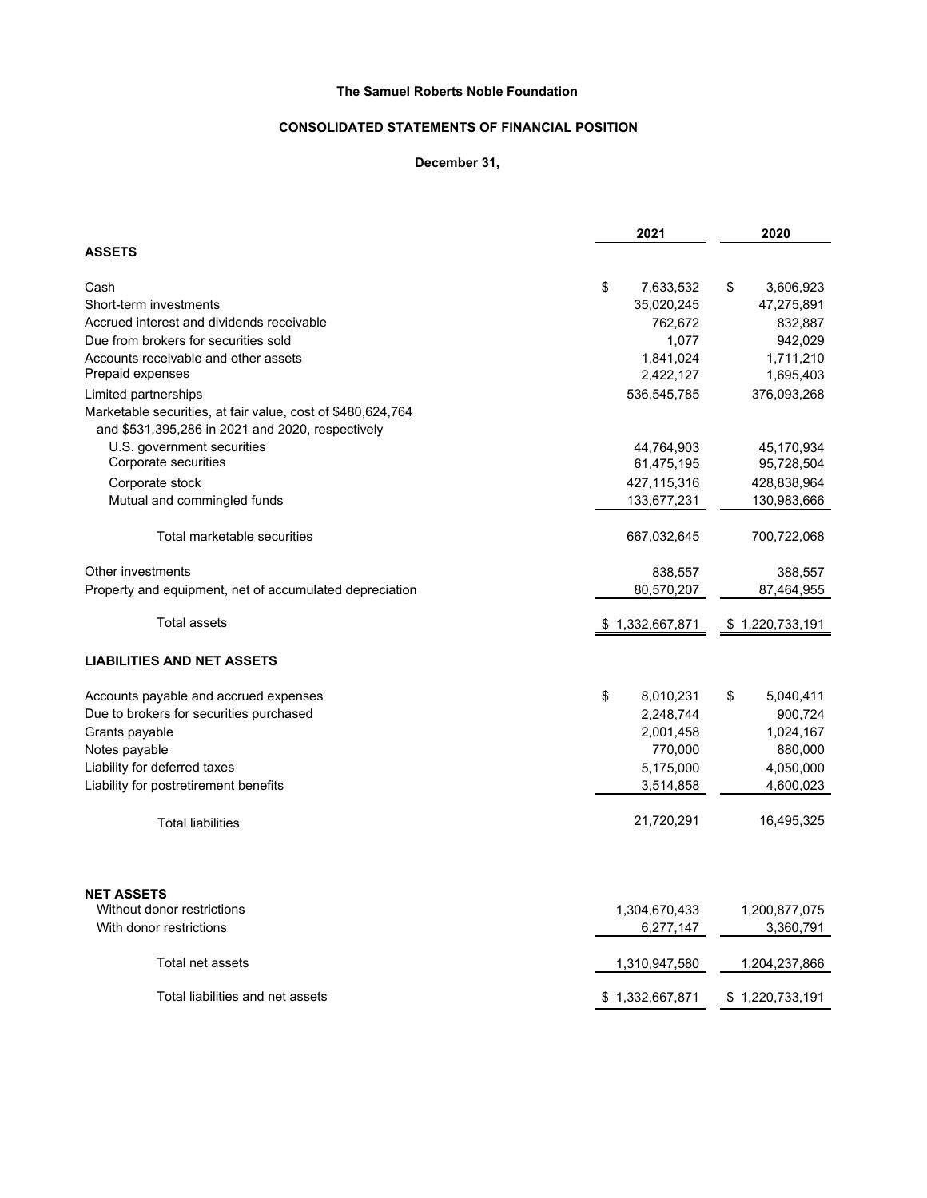## **The Samuel Roberts Noble Foundation**

# **CONSOLIDATED STATEMENTS OF FINANCIAL POSITION**

### **December 31,**

|                                                             | 2021            | 2020            |  |
|-------------------------------------------------------------|-----------------|-----------------|--|
| <b>ASSETS</b>                                               |                 |                 |  |
| Cash                                                        | \$<br>7,633,532 | \$<br>3,606,923 |  |
| Short-term investments                                      | 35,020,245      | 47,275,891      |  |
| Accrued interest and dividends receivable                   | 762,672         | 832,887         |  |
| Due from brokers for securities sold                        | 1,077           | 942,029         |  |
| Accounts receivable and other assets                        | 1,841,024       | 1,711,210       |  |
| Prepaid expenses                                            | 2,422,127       | 1,695,403       |  |
| Limited partnerships                                        | 536,545,785     | 376,093,268     |  |
| Marketable securities, at fair value, cost of \$480,624,764 |                 |                 |  |
| and \$531,395,286 in 2021 and 2020, respectively            |                 |                 |  |
| U.S. government securities                                  | 44,764,903      | 45,170,934      |  |
| Corporate securities                                        | 61,475,195      | 95,728,504      |  |
| Corporate stock                                             | 427,115,316     | 428,838,964     |  |
| Mutual and commingled funds                                 | 133,677,231     | 130,983,666     |  |
| Total marketable securities                                 | 667,032,645     | 700,722,068     |  |
| Other investments                                           | 838,557         | 388,557         |  |
| Property and equipment, net of accumulated depreciation     | 80,570,207      | 87,464,955      |  |
| <b>Total assets</b>                                         | \$1,332,667,871 | \$1,220,733,191 |  |
| <b>LIABILITIES AND NET ASSETS</b>                           |                 |                 |  |
| Accounts payable and accrued expenses                       | \$<br>8,010,231 | \$<br>5,040,411 |  |
| Due to brokers for securities purchased                     | 2,248,744       | 900,724         |  |
| Grants payable                                              | 2,001,458       | 1,024,167       |  |
| Notes payable                                               | 770,000         | 880,000         |  |
| Liability for deferred taxes                                | 5,175,000       | 4,050,000       |  |
| Liability for postretirement benefits                       | 3,514,858       | 4,600,023       |  |
| <b>Total liabilities</b>                                    | 21,720,291      | 16,495,325      |  |
| <b>NET ASSETS</b>                                           |                 |                 |  |
| Without donor restrictions                                  | 1,304,670,433   | 1,200,877,075   |  |
| With donor restrictions                                     | 6,277,147       | 3,360,791       |  |
| Total net assets                                            | 1,310,947,580   | 1,204,237,866   |  |
| Total liabilities and net assets                            | \$1,332,667,871 | \$1,220,733,191 |  |